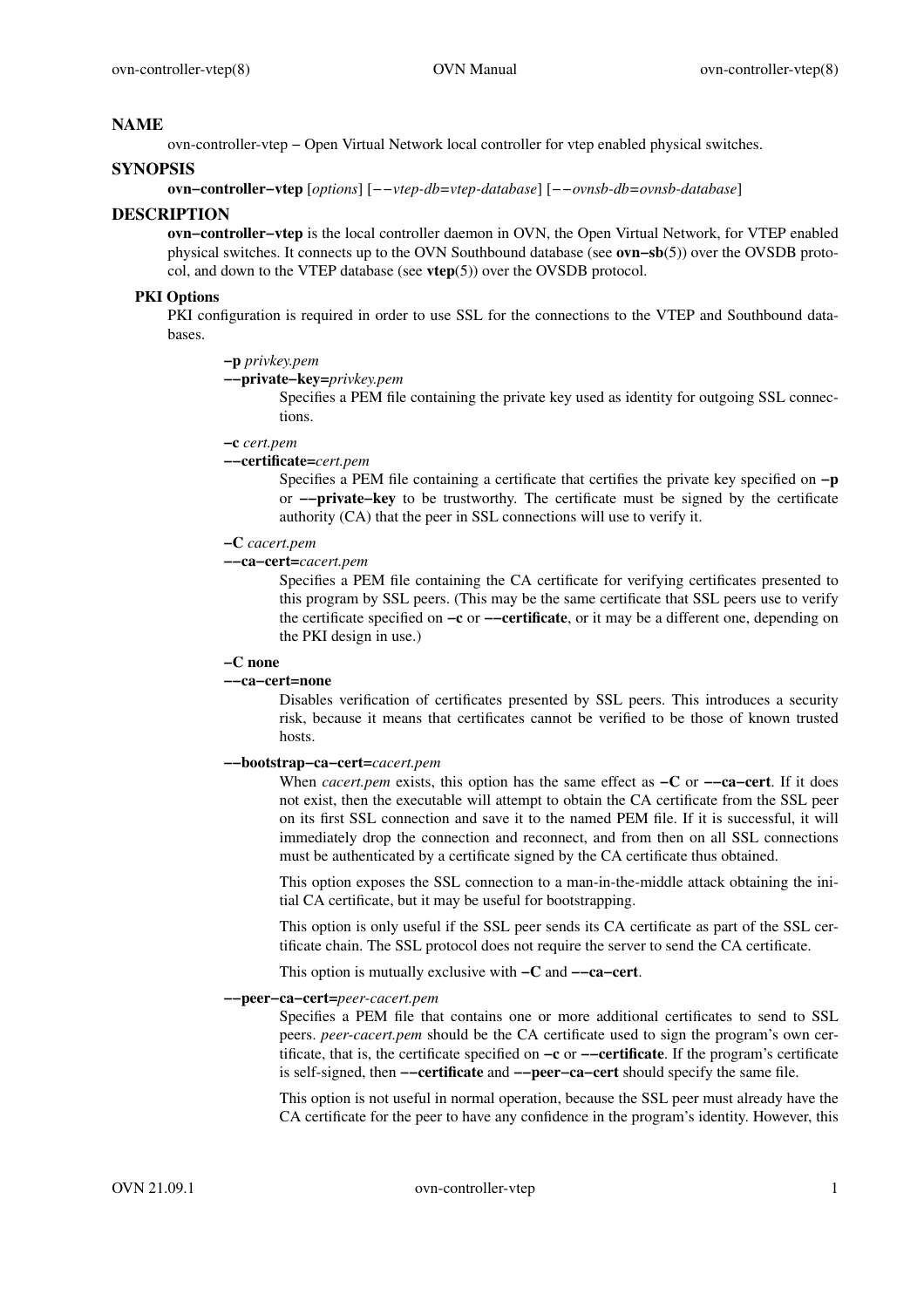# **NAME**

ovn-controller-vtep − Open Virtual Network local controller for vtep enabled physical switches.

# **SYNOPSIS**

**ovn−controller−vtep** [*options*] [*−−vtep-db=vtep-database*] [*−−ovnsb-db=ovnsb-database*]

# **DESCRIPTION**

**ovn−controller−vtep** is the local controller daemon in OVN, the Open Virtual Network, for VTEP enabled physical switches. It connects up to the OVN Southbound database (see **ovn−sb**(5)) over the OVSDB protocol, and down to the VTEP database (see **vtep**(5)) over the OVSDB protocol.

# **PKI Options**

PKI configuration is required in order to use SSL for the connections to the VTEP and Southbound databases.

**−p** *privkey.pem*

**−−private−key=***privkey.pem*

Specifies a PEM file containing the private key used as identity for outgoing SSL connections.

#### **−c** *cert.pem*

#### **−−certificate=***cert.pem*

Specifies a PEM file containing a certificate that certifies the private key specified on **−p** or **−−private−key** to be trustworthy. The certificate must be signed by the certificate authority (CA) that the peer in SSL connections will use to verify it.

### **−C** *cacert.pem*

### **−−ca−cert=***cacert.pem*

Specifies a PEM file containing the CA certificate for verifying certificates presented to this program by SSL peers. (This may be the same certificate that SSL peers use to verify the certificate specified on **−c** or **−−certificate**, or it may be a different one, depending on the PKI design in use.)

#### **−C none**

#### **−−ca−cert=none**

Disables verification of certificates presented by SSL peers. This introduces a security risk, because it means that certificates cannot be verified to be those of known trusted hosts.

#### **−−bootstrap−ca−cert=***cacert.pem*

When *cacert.pem* exists, this option has the same effect as **−C** or **−−ca−cert**. If it does not exist, then the executable will attempt to obtain the CA certificate from the SSL peer on its first SSL connection and save it to the named PEM file. If it is successful, it will immediately drop the connection and reconnect, and from then on all SSL connections must be authenticated by a certificate signed by the CA certificate thus obtained.

This option exposes the SSL connection to a man-in-the-middle attack obtaining the initial CA certificate, but it may be useful for bootstrapping.

This option is only useful if the SSL peer sends its CA certificate as part of the SSL certificate chain. The SSL protocol does not require the server to send the CA certificate.

This option is mutually exclusive with **−C** and **−−ca−cert**.

# **−−peer−ca−cert=***peer-cacert.pem*

Specifies a PEM file that contains one or more additional certificates to send to SSL peers. *peer-cacert.pem* should be the CA certificate used to sign the program's own certificate, that is, the certificate specified on **−c** or **−−certificate**. If the program's certificate is self-signed, then **−−certificate** and **−−peer−ca−cert** should specify the same file.

This option is not useful in normal operation, because the SSL peer must already have the CA certificate for the peer to have any confidence in the program's identity. However, this